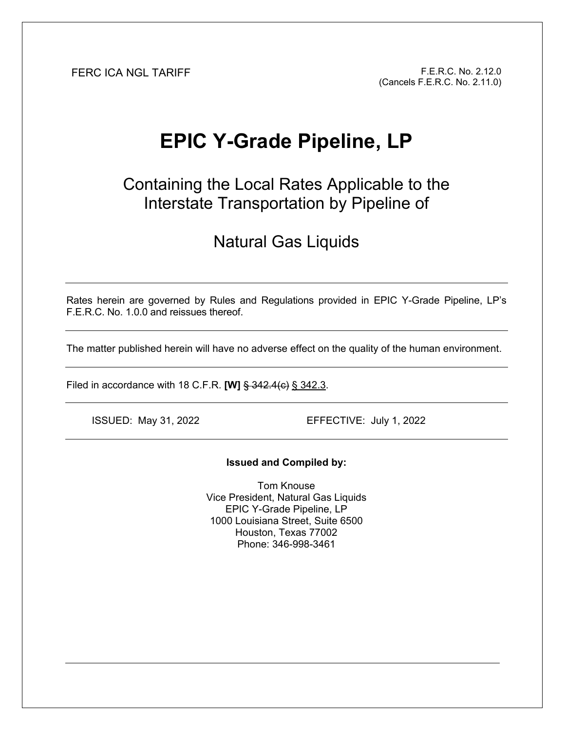FERC ICA NGL TARIFF F.E.R.C. No. 2.12.0 (Cancels F.E.R.C. No. 2.11.0)

# **EPIC Y-Grade Pipeline, LP**

Containing the Local Rates Applicable to the Interstate Transportation by Pipeline of

## Natural Gas Liquids

Rates herein are governed by Rules and Regulations provided in EPIC Y-Grade Pipeline, LP's F.E.R.C. No. 1.0.0 and reissues thereof.

The matter published herein will have no adverse effect on the quality of the human environment.

Filed in accordance with 18 C.F.R. **[W]** § 342.4(c) § 342.3.

ISSUED: May 31, 2022 EFFECTIVE: July 1, 2022

### **Issued and Compiled by:**

Tom Knouse Vice President, Natural Gas Liquids EPIC Y-Grade Pipeline, LP 1000 Louisiana Street, Suite 6500 Houston, Texas 77002 Phone: 346-998-3461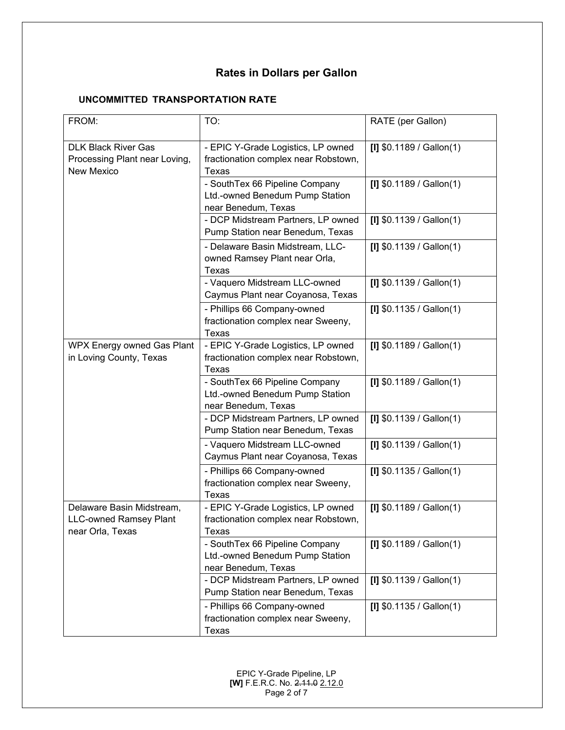### **Rates in Dollars per Gallon**

### **UNCOMMITTED TRANSPORTATION RATE**

| FROM:                                                                            | TO:                                                                                        | RATE (per Gallon)          |
|----------------------------------------------------------------------------------|--------------------------------------------------------------------------------------------|----------------------------|
| <b>DLK Black River Gas</b><br>Processing Plant near Loving,<br><b>New Mexico</b> | - EPIC Y-Grade Logistics, LP owned<br>fractionation complex near Robstown,<br>Texas        | $[1]$ \$0.1189 / Gallon(1) |
|                                                                                  | - SouthTex 66 Pipeline Company<br>Ltd.-owned Benedum Pump Station<br>near Benedum, Texas   | $[1]$ \$0.1189 / Gallon(1) |
|                                                                                  | - DCP Midstream Partners, LP owned<br>Pump Station near Benedum, Texas                     | $[1]$ \$0.1139 / Gallon(1) |
|                                                                                  | - Delaware Basin Midstream, LLC-<br>owned Ramsey Plant near Orla,<br>Texas                 | $[1]$ \$0.1139 / Gallon(1) |
|                                                                                  | - Vaquero Midstream LLC-owned<br>Caymus Plant near Coyanosa, Texas                         | $[1]$ \$0.1139 / Gallon(1) |
|                                                                                  | - Phillips 66 Company-owned<br>fractionation complex near Sweeny,<br>Texas                 | $[1]$ \$0.1135 / Gallon(1) |
| WPX Energy owned Gas Plant<br>in Loving County, Texas                            | - EPIC Y-Grade Logistics, LP owned<br>fractionation complex near Robstown,<br><b>Texas</b> | $[1]$ \$0.1189 / Gallon(1) |
|                                                                                  | - SouthTex 66 Pipeline Company<br>Ltd.-owned Benedum Pump Station<br>near Benedum, Texas   | $[1]$ \$0.1189 / Gallon(1) |
|                                                                                  | - DCP Midstream Partners, LP owned<br>Pump Station near Benedum, Texas                     | $[1]$ \$0.1139 / Gallon(1) |
|                                                                                  | - Vaquero Midstream LLC-owned<br>Caymus Plant near Coyanosa, Texas                         | $[1]$ \$0.1139 / Gallon(1) |
|                                                                                  | - Phillips 66 Company-owned<br>fractionation complex near Sweeny,<br>Texas                 | $[1]$ \$0.1135 / Gallon(1) |
| Delaware Basin Midstream,<br><b>LLC-owned Ramsey Plant</b><br>near Orla, Texas   | - EPIC Y-Grade Logistics, LP owned<br>fractionation complex near Robstown,<br>Texas        | $[1]$ \$0.1189 / Gallon(1) |
|                                                                                  | - SouthTex 66 Pipeline Company<br>Ltd.-owned Benedum Pump Station<br>near Benedum, Texas   | $[1]$ \$0.1189 / Gallon(1) |
|                                                                                  | - DCP Midstream Partners, LP owned<br>Pump Station near Benedum, Texas                     | $[1]$ \$0.1139 / Gallon(1) |
|                                                                                  | - Phillips 66 Company-owned<br>fractionation complex near Sweeny,<br>Texas                 | $[1]$ \$0.1135 / Gallon(1) |

EPIC Y-Grade Pipeline, LP **[W]** F.E.R.C. No. 2.11.0 2.12.0 Page 2 of 7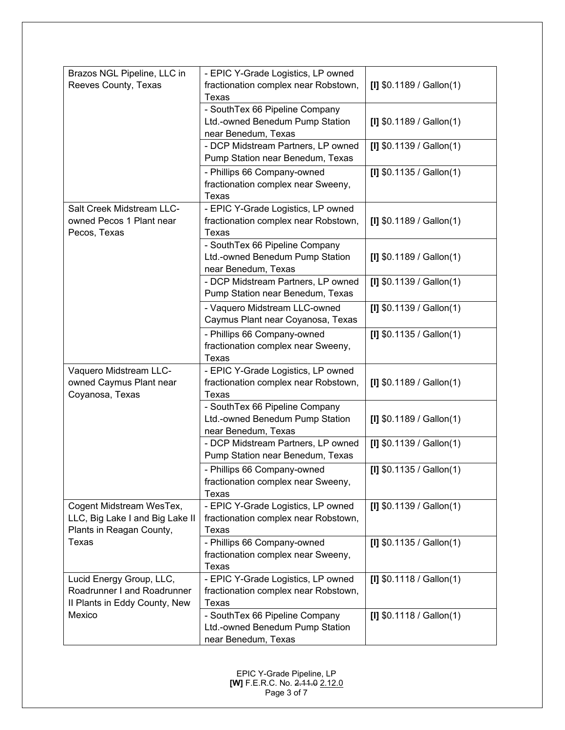| Brazos NGL Pipeline, LLC in     | - EPIC Y-Grade Logistics, LP owned   |                            |
|---------------------------------|--------------------------------------|----------------------------|
| Reeves County, Texas            | fractionation complex near Robstown, | $[1]$ \$0.1189 / Gallon(1) |
|                                 | Texas                                |                            |
|                                 | - SouthTex 66 Pipeline Company       |                            |
|                                 | Ltd.-owned Benedum Pump Station      | $[1]$ \$0.1189 / Gallon(1) |
|                                 | near Benedum, Texas                  |                            |
|                                 | - DCP Midstream Partners, LP owned   | $[1]$ \$0.1139 / Gallon(1) |
|                                 | Pump Station near Benedum, Texas     |                            |
|                                 | - Phillips 66 Company-owned          | $[1]$ \$0.1135 / Gallon(1) |
|                                 | fractionation complex near Sweeny,   |                            |
|                                 | Texas                                |                            |
| Salt Creek Midstream LLC-       | - EPIC Y-Grade Logistics, LP owned   |                            |
| owned Pecos 1 Plant near        | fractionation complex near Robstown, | $[1]$ \$0.1189 / Gallon(1) |
| Pecos, Texas                    | Texas                                |                            |
|                                 | - SouthTex 66 Pipeline Company       |                            |
|                                 | Ltd.-owned Benedum Pump Station      | $[1]$ \$0.1189 / Gallon(1) |
|                                 | near Benedum, Texas                  |                            |
|                                 | - DCP Midstream Partners, LP owned   | $[1]$ \$0.1139 / Gallon(1) |
|                                 | Pump Station near Benedum, Texas     |                            |
|                                 | - Vaquero Midstream LLC-owned        | $[1]$ \$0.1139 / Gallon(1) |
|                                 | Caymus Plant near Coyanosa, Texas    |                            |
|                                 | - Phillips 66 Company-owned          | $[1]$ \$0.1135 / Gallon(1) |
|                                 | fractionation complex near Sweeny,   |                            |
|                                 | Texas                                |                            |
| Vaquero Midstream LLC-          | - EPIC Y-Grade Logistics, LP owned   |                            |
| owned Caymus Plant near         | fractionation complex near Robstown, | $[1]$ \$0.1189 / Gallon(1) |
| Coyanosa, Texas                 | Texas                                |                            |
|                                 | - SouthTex 66 Pipeline Company       |                            |
|                                 | Ltd.-owned Benedum Pump Station      | $[1]$ \$0.1189 / Gallon(1) |
|                                 | near Benedum, Texas                  |                            |
|                                 | - DCP Midstream Partners, LP owned   | $[1]$ \$0.1139 / Gallon(1) |
|                                 | Pump Station near Benedum, Texas     |                            |
|                                 | - Phillips 66 Company-owned          | $[1]$ \$0.1135 / Gallon(1) |
|                                 | fractionation complex near Sweeny,   |                            |
|                                 | Texas                                |                            |
| Cogent Midstream WesTex,        | - EPIC Y-Grade Logistics, LP owned   | $[1]$ \$0.1139 / Gallon(1) |
| LLC, Big Lake I and Big Lake II | fractionation complex near Robstown, |                            |
| Plants in Reagan County,        | Texas                                |                            |
| Texas                           | - Phillips 66 Company-owned          | $[1]$ \$0.1135 / Gallon(1) |
|                                 | fractionation complex near Sweeny,   |                            |
|                                 | Texas                                |                            |
| Lucid Energy Group, LLC,        | - EPIC Y-Grade Logistics, LP owned   | $[1]$ \$0.1118 / Gallon(1) |
| Roadrunner I and Roadrunner     | fractionation complex near Robstown, |                            |
| Il Plants in Eddy County, New   | Texas                                |                            |
| Mexico                          | - SouthTex 66 Pipeline Company       | $[1]$ \$0.1118 / Gallon(1) |
|                                 | Ltd.-owned Benedum Pump Station      |                            |
|                                 | near Benedum, Texas                  |                            |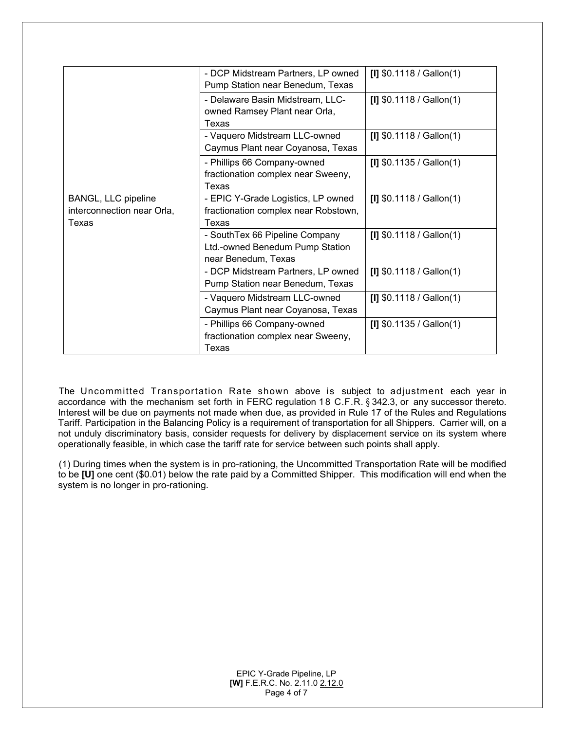|                                                            | - DCP Midstream Partners, LP owned<br>Pump Station near Benedum, Texas                   | $[1]$ \$0.1118 / Gallon(1) |
|------------------------------------------------------------|------------------------------------------------------------------------------------------|----------------------------|
|                                                            | - Delaware Basin Midstream, LLC-<br>owned Ramsey Plant near Orla,<br>Texas               | $[1]$ \$0.1118 / Gallon(1) |
|                                                            | - Vaquero Midstream LLC-owned<br>Caymus Plant near Coyanosa, Texas                       | $[1]$ \$0.1118 / Gallon(1) |
|                                                            | - Phillips 66 Company-owned<br>fractionation complex near Sweeny,<br>Texas               | $[1]$ \$0.1135 / Gallon(1) |
| BANGL, LLC pipeline<br>interconnection near Orla,<br>Texas | - EPIC Y-Grade Logistics, LP owned<br>fractionation complex near Robstown,<br>Texas      | $[1]$ \$0.1118 / Gallon(1) |
|                                                            | - SouthTex 66 Pipeline Company<br>Ltd.-owned Benedum Pump Station<br>near Benedum, Texas | $[1]$ \$0.1118 / Gallon(1) |
|                                                            | - DCP Midstream Partners, LP owned<br>Pump Station near Benedum, Texas                   | $[1]$ \$0.1118 / Gallon(1) |
|                                                            | - Vaquero Midstream LLC-owned<br>Caymus Plant near Coyanosa, Texas                       | $[1]$ \$0.1118 / Gallon(1) |
|                                                            | - Phillips 66 Company-owned<br>fractionation complex near Sweeny,<br>Texas               | $[1]$ \$0.1135 / Gallon(1) |

The Uncommitted Transportation Rate shown above is subject to adjustment each year in accordance with the mechanism set forth in FERC regulation 1 8 C.F.R. § 342.3, or any successor thereto. Interest will be due on payments not made when due, as provided in Rule 17 of the Rules and Regulations Tariff. Participation in the Balancing Policy is a requirement of transportation for all Shippers. Carrier will, on a not unduly discriminatory basis, consider requests for delivery by displacement service on its system where operationally feasible, in which case the tariff rate for service between such points shall apply.

(1) During times when the system is in pro-rationing, the Uncommitted Transportation Rate will be modified to be **[U]** one cent (\$0.01) below the rate paid by a Committed Shipper. This modification will end when the system is no longer in pro-rationing.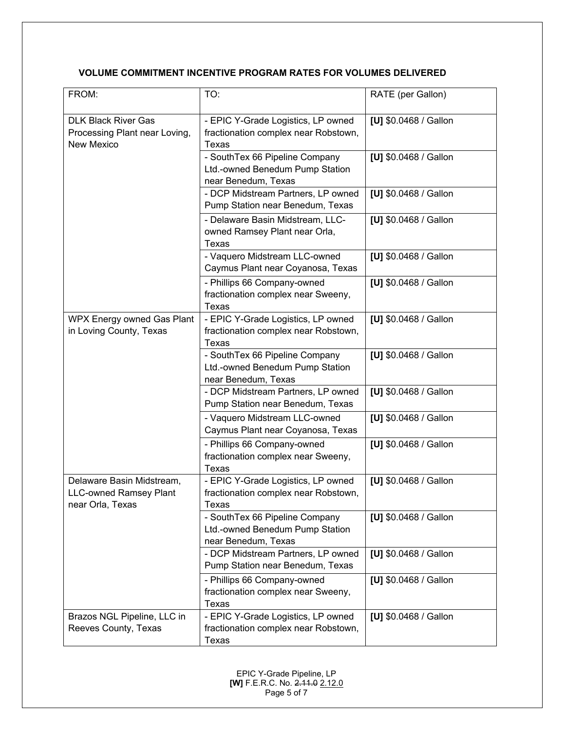### **VOLUME COMMITMENT INCENTIVE PROGRAM RATES FOR VOLUMES DELIVERED**

| FROM:                                                                          | TO:                                                                                      | RATE (per Gallon)      |
|--------------------------------------------------------------------------------|------------------------------------------------------------------------------------------|------------------------|
| <b>DLK Black River Gas</b><br>Processing Plant near Loving,<br>New Mexico      | - EPIC Y-Grade Logistics, LP owned<br>fractionation complex near Robstown,<br>Texas      | [U] \$0.0468 / Gallon  |
|                                                                                | - SouthTex 66 Pipeline Company<br>Ltd.-owned Benedum Pump Station<br>near Benedum, Texas | [U] \$0.0468 / Gallon  |
|                                                                                | - DCP Midstream Partners, LP owned<br>Pump Station near Benedum, Texas                   | [U] \$0.0468 / Gallon  |
|                                                                                | - Delaware Basin Midstream, LLC-<br>owned Ramsey Plant near Orla,<br>Texas               | [U] $$0.0468 /$ Gallon |
|                                                                                | - Vaquero Midstream LLC-owned<br>Caymus Plant near Coyanosa, Texas                       | [U] \$0.0468 / Gallon  |
|                                                                                | - Phillips 66 Company-owned<br>fractionation complex near Sweeny,<br>Texas               | [U] $$0.0468 /$ Gallon |
| WPX Energy owned Gas Plant<br>in Loving County, Texas                          | - EPIC Y-Grade Logistics, LP owned<br>fractionation complex near Robstown,<br>Texas      | [U] \$0.0468 / Gallon  |
|                                                                                | - SouthTex 66 Pipeline Company<br>Ltd.-owned Benedum Pump Station<br>near Benedum, Texas | [U] \$0.0468 / Gallon  |
|                                                                                | - DCP Midstream Partners, LP owned<br>Pump Station near Benedum, Texas                   | [U] \$0.0468 / Gallon  |
|                                                                                | - Vaquero Midstream LLC-owned<br>Caymus Plant near Coyanosa, Texas                       | [U] \$0.0468 / Gallon  |
|                                                                                | - Phillips 66 Company-owned<br>fractionation complex near Sweeny,<br>Texas               | [U] \$0.0468 / Gallon  |
| Delaware Basin Midstream,<br><b>LLC-owned Ramsey Plant</b><br>near Orla, Texas | - EPIC Y-Grade Logistics, LP owned<br>fractionation complex near Robstown,<br>Texas      | [U] \$0.0468 / Gallon  |
|                                                                                | - SouthTex 66 Pipeline Company<br>Ltd.-owned Benedum Pump Station<br>near Benedum, Texas | [U] \$0.0468 / Gallon  |
|                                                                                | - DCP Midstream Partners, LP owned<br>Pump Station near Benedum, Texas                   | [U] \$0.0468 / Gallon  |
|                                                                                | - Phillips 66 Company-owned<br>fractionation complex near Sweeny,<br>Texas               | [U] \$0.0468 / Gallon  |
| Brazos NGL Pipeline, LLC in<br>Reeves County, Texas                            | - EPIC Y-Grade Logistics, LP owned<br>fractionation complex near Robstown,<br>Texas      | [U] \$0.0468 / Gallon  |

EPIC Y-Grade Pipeline, LP **[W]** F.E.R.C. No. 2.11.0 2.12.0 Page 5 of 7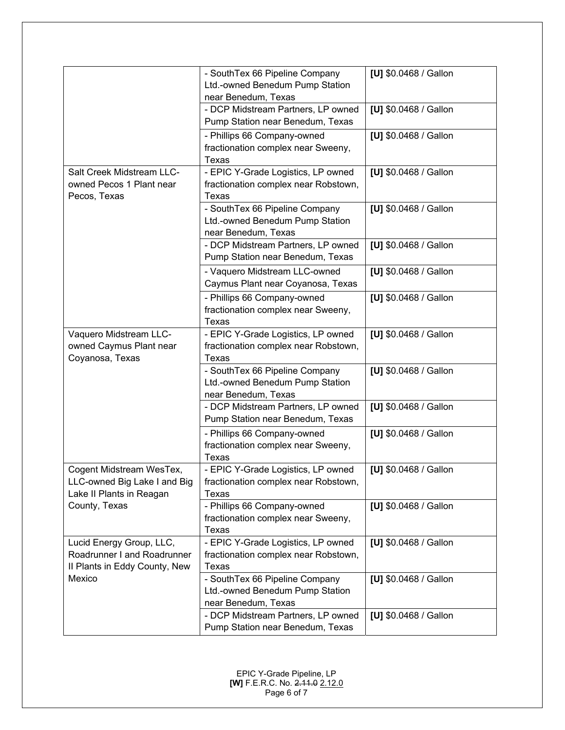|                                                                                          | - SouthTex 66 Pipeline Company<br>Ltd.-owned Benedum Pump Station<br>near Benedum, Texas | [U] \$0.0468 / Gallon |
|------------------------------------------------------------------------------------------|------------------------------------------------------------------------------------------|-----------------------|
|                                                                                          | - DCP Midstream Partners, LP owned<br>Pump Station near Benedum, Texas                   | [U] \$0.0468 / Gallon |
|                                                                                          | - Phillips 66 Company-owned<br>fractionation complex near Sweeny,<br><b>Texas</b>        | [U] \$0.0468 / Gallon |
| Salt Creek Midstream LLC-<br>owned Pecos 1 Plant near<br>Pecos, Texas                    | - EPIC Y-Grade Logistics, LP owned<br>fractionation complex near Robstown,<br>Texas      | [U] \$0.0468 / Gallon |
|                                                                                          | - SouthTex 66 Pipeline Company<br>Ltd.-owned Benedum Pump Station<br>near Benedum, Texas | [U] \$0.0468 / Gallon |
|                                                                                          | - DCP Midstream Partners, LP owned<br>Pump Station near Benedum, Texas                   | [U] \$0.0468 / Gallon |
|                                                                                          | - Vaquero Midstream LLC-owned<br>Caymus Plant near Coyanosa, Texas                       | [U] \$0.0468 / Gallon |
|                                                                                          | - Phillips 66 Company-owned<br>fractionation complex near Sweeny,<br><b>Texas</b>        | [U] \$0.0468 / Gallon |
| Vaquero Midstream LLC-<br>owned Caymus Plant near<br>Coyanosa, Texas                     | - EPIC Y-Grade Logistics, LP owned<br>fractionation complex near Robstown,<br>Texas      | [U] \$0.0468 / Gallon |
|                                                                                          | - SouthTex 66 Pipeline Company<br>Ltd.-owned Benedum Pump Station<br>near Benedum, Texas | [U] \$0.0468 / Gallon |
|                                                                                          | - DCP Midstream Partners, LP owned<br>Pump Station near Benedum, Texas                   | [U] \$0.0468 / Gallon |
|                                                                                          | - Phillips 66 Company-owned<br>fractionation complex near Sweeny,<br>Texas               | [U] \$0.0468 / Gallon |
| Cogent Midstream WesTex,<br>LLC-owned Big Lake I and Big<br>Lake II Plants in Reagan     | - EPIC Y-Grade Logistics, LP owned<br>fractionation complex near Robstown,<br>Texas      | [U] \$0.0468 / Gallon |
| County, Texas                                                                            | - Phillips 66 Company-owned<br>fractionation complex near Sweeny,<br><b>Texas</b>        | [U] \$0.0468 / Gallon |
| Lucid Energy Group, LLC,<br>Roadrunner I and Roadrunner<br>Il Plants in Eddy County, New | - EPIC Y-Grade Logistics, LP owned<br>fractionation complex near Robstown,<br>Texas      | [U] \$0.0468 / Gallon |
| Mexico                                                                                   | - SouthTex 66 Pipeline Company<br>Ltd.-owned Benedum Pump Station<br>near Benedum, Texas | [U] \$0.0468 / Gallon |
|                                                                                          | - DCP Midstream Partners, LP owned<br>Pump Station near Benedum, Texas                   | [U] \$0.0468 / Gallon |

EPIC Y-Grade Pipeline, LP **[W]** F.E.R.C. No. 2.11.0 2.12.0 Page 6 of 7